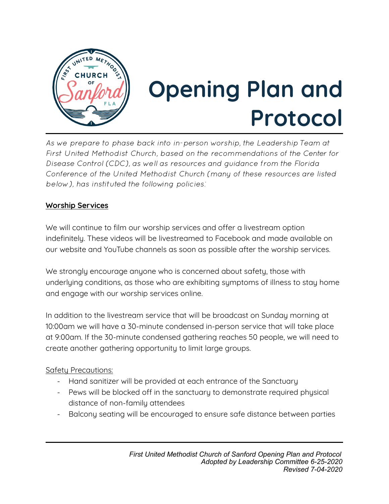

# **Opening Plan and Protocol**

*As we prepare to phase back into in-person worship, the Leadership Team at First United Methodist Church, based on the recommendations of the Center for Disease Control (CDC), as well as resources and guidance from the Florida Conference of the United Methodist Church (many of these resources are listed below), has instituted the following policies:* 

## **Worship Services**

We will continue to film our worship services and offer a livestream option indefinitely. These videos will be livestreamed to Facebook and made available on our website and YouTube channels as soon as possible after the worship services.

We strongly encourage anyone who is concerned about safety, those with underlying conditions, as those who are exhibiting symptoms of illness to stay home and engage with our worship services online.

In addition to the livestream service that will be broadcast on Sunday morning at 10:00am we will have a 30-minute condensed in-person service that will take place at 9:00am. If the 30-minute condensed gathering reaches 50 people, we will need to create another gathering opportunity to limit large groups.

## Safety Precautions:

- Hand sanitizer will be provided at each entrance of the Sanctuary
- Pews will be blocked off in the sanctuary to demonstrate required physical distance of non-family attendees
- Balcony seating will be encouraged to ensure safe distance between parties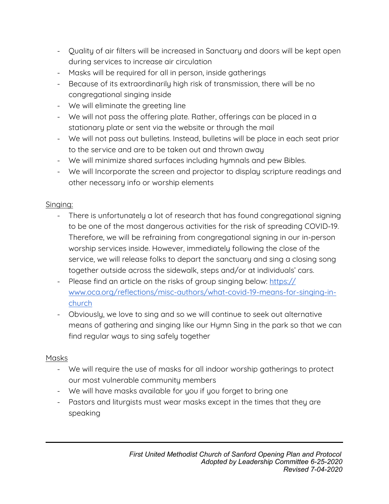- Quality of air filters will be increased in Sanctuary and doors will be kept open during services to increase air circulation
- Masks will be required for all in person, inside gatherings
- Because of its extraordinarily high risk of transmission, there will be no congregational singing inside
- We will eliminate the greeting line
- We will not pass the offering plate. Rather, offerings can be placed in a stationary plate or sent via the website or through the mail
- We will not pass out bulletins. Instead, bulletins will be place in each seat prior to the service and are to be taken out and thrown away
- We will minimize shared surfaces including hymnals and pew Bibles.
- We will Incorporate the screen and projector to display scripture readings and other necessary info or worship elements

## Singing:

- There is unfortunately a lot of research that has found congregational signing to be one of the most dangerous activities for the risk of spreading COVID-19. Therefore, we will be refraining from congregational signing in our in-person worship services inside. However, immediately following the close of the service, we will release folks to depart the sanctuary and sing a closing song together outside across the sidewalk, steps and/or at individuals' cars.
- Please find an article on the risks of group singing below: [https://](https://www.oca.org/reflections/misc-authors/what-covid-19-means-for-singing-in-church) [www.oca.org/reflections/misc-authors/what-covid-19-means-for-singing-in](https://www.oca.org/reflections/misc-authors/what-covid-19-means-for-singing-in-church)[church](https://www.oca.org/reflections/misc-authors/what-covid-19-means-for-singing-in-church)
- Obviously, we love to sing and so we will continue to seek out alternative means of gathering and singing like our Hymn Sing in the park so that we can find regular ways to sing safely together

# Masks

- We will require the use of masks for all indoor worship gatherings to protect our most vulnerable community members
- We will have masks available for you if you forget to bring one
- Pastors and liturgists must wear masks except in the times that they are speaking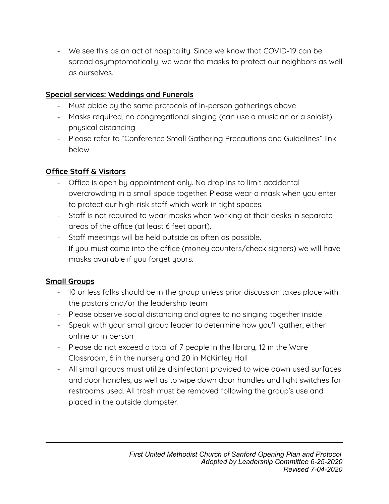- We see this as an act of hospitality. Since we know that COVID-19 can be spread asymptomatically, we wear the masks to protect our neighbors as well as ourselves.

# **Special services: Weddings and Funerals**

- Must abide by the same protocols of in-person gatherings above
- Masks required, no congregational singing (can use a musician or a soloist), physical distancing
- Please refer to "Conference Small Gathering Precautions and Guidelines" link below

# **Ofce Staf & Visitors**

- Office is open by appointment only. No drop ins to limit accidental overcrowding in a small space together. Please wear a mask when you enter to protect our high-risk staff which work in tight spaces.
- Staff is not required to wear masks when working at their desks in separate areas of the office (at least 6 feet apart).
- Staff meetings will be held outside as often as possible.
- If you must come into the office (money counters/check signers) we will have masks available if you forget yours.

# **Small Groups**

- 10 or less folks should be in the group unless prior discussion takes place with the pastors and/or the leadership team
- Please observe social distancing and agree to no singing together inside
- Speak with your small group leader to determine how you'll gather, either online or in person
- Please do not exceed a total of 7 people in the library, 12 in the Ware Classroom, 6 in the nursery and 20 in McKinley Hall
- All small groups must utilize disinfectant provided to wipe down used surfaces and door handles, as well as to wipe down door handles and light switches for restrooms used. All trash must be removed following the group's use and placed in the outside dumpster.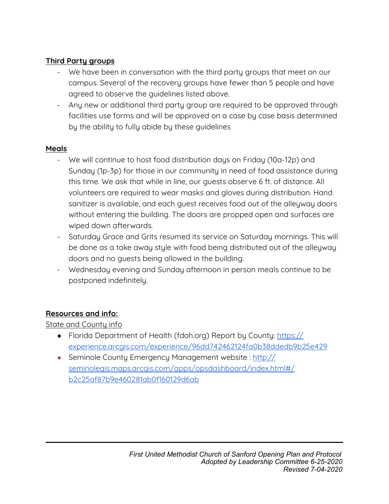## **Third Party groups**

- We have been in conversation with the third party groups that meet on our campus. Several of the recovery groups have fewer than 5 people and have agreed to observe the guidelines listed above.
- Any new or additional third party group are required to be approved through facilities use forms and will be approved on a case by case basis determined by the ability to fully abide by these guidelines

## **Meals**

- We will continue to host food distribution days on Friday (10a-12p) and Sunday (1p-3p) for those in our community in need of food assistance during this time. We ask that while in line, our guests observe 6 ft. of distance. All volunteers are required to wear masks and gloves during distribution. Hand sanitizer is available, and each guest receives food out of the alleyway doors without entering the building. The doors are propped open and surfaces are wiped down afterwards.
- Saturday Grace and Grits resumed its service on Saturday mornings. This will be done as a take away style with food being distributed out of the alleyway doors and no guests being allowed in the building.
- Wednesday evening and Sunday afternoon in person meals continue to be postponed indefinitely.

## **Resources and info:**

State and County info

- Florida Department of Health (fdoh.org) Report by County[:](http://ww11.doh.state.fl.us/comm/_partners/action/report_archive/county/county_reports_latest.pdf) [https://](https://experience.arcgis.com/experience/96dd742462124fa0b38ddedb9b25e429) [experience.arcgis.com/experience/96dd742462124fa0b38ddedb9b25e429](https://experience.arcgis.com/experience/96dd742462124fa0b38ddedb9b25e429)
- Seminole County Emergency Management website : [http://](http://seminolegis.maps.arcgis.com/apps/opsdashboard/index.html#/b2c25af87b9e460281ab0f160129d6ab) [seminolegis.maps.arcgis.com/apps/opsdashboard/index.html#/](http://seminolegis.maps.arcgis.com/apps/opsdashboard/index.html#/b2c25af87b9e460281ab0f160129d6ab) [b2c25af87b9e460281ab0f160129d6ab](http://seminolegis.maps.arcgis.com/apps/opsdashboard/index.html#/b2c25af87b9e460281ab0f160129d6ab)